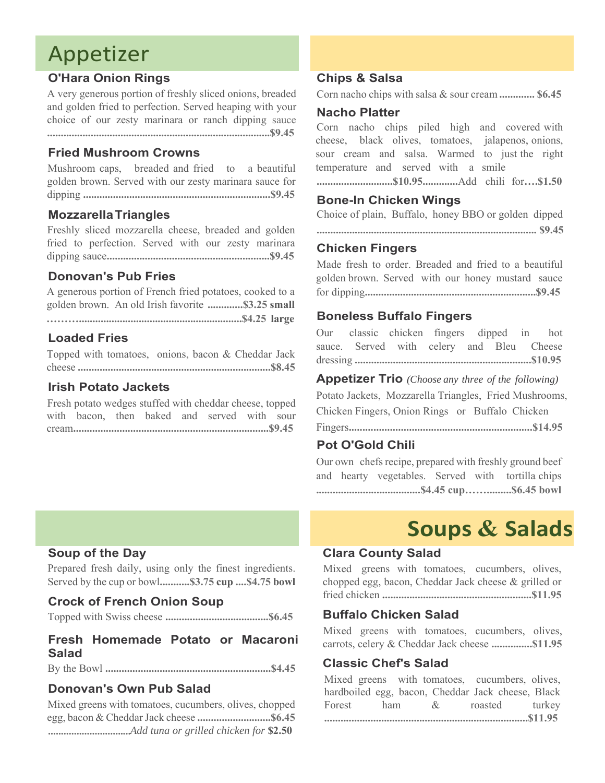# Appetizer

## **O'Hara Onion Rings**

A very generous portion of freshly sliced onions, breaded and golden fried to perfection. Served heaping with your choice of our zesty marinara or ranch dipping sauce **..................................................................................\$9.45**

## **Fried Mushroom Crowns**

Mushroom caps, breaded and fried to a beautiful golden brown. Served with our zesty marinara sauce for dipping **.....................................................................\$9.45**

## **MozzarellaTriangles**

Freshly sliced mozzarella cheese, breaded and golden fried to perfection. Served with our zesty marinara dipping sauce**............................................................\$9.45**

## **Donovan's Pub Fries**

A generous portion of French fried potatoes, cooked to a golden brown. An old Irish favorite **.............\$3.25 small** **………............................................................\$4.25 large**

## **Loaded Fries**

Topped with tomatoes, onions, bacon & Cheddar Jack cheese **.......................................................................\$8.45**

## **Irish Potato Jackets**

Fresh potato wedges stuffed with cheddar cheese, topped with bacon, then baked and served with sour cream**........................................................................\$9.45**

#### **Chips & Salsa**

Corn nacho chips with salsa & sour cream **............. \$6.45**

#### **Nacho Platter**

Corn nacho chips piled high and covered with cheese, black olives, tomatoes, jalapenos, onions, sour cream and salsa. Warmed to just the right temperature and served with a smile

**............................\$10.95.............**Add chili for**….\$1.50**

## **Bone-In Chicken Wings**

Choice of plain, Buffalo, honey BBO or golden dipped

**................................................................................. \$9.45** 

#### **Chicken Fingers**

Made fresh to order. Breaded and fried to a beautiful golden brown. Served with our honey mustard sauce for dipping**...............................................................\$9.45** 

## **Boneless Buffalo Fingers**

Our classic chicken fingers dipped in hot sauce. Served with celery and Bleu Cheese dressing **.................................................................\$10.95**

#### **Appetizer Trio** *(Choose any three of the following)*

Potato Jackets, Mozzarella Triangles, Fried Mushrooms, Chicken Fingers, Onion Rings or Buffalo Chicken

Fingers**...................................................................\$14.95** 

## **Pot O'Gold Chili**

Our own chefs recipe, prepared with freshly ground beef and hearty vegetables. Served with tortilla chips **......................................\$4.45 cup…….........\$6.45 bowl**

# **Soups & Salads**

## **Clara County Salad**

Mixed greens with tomatoes, cucumbers, olives, chopped egg, bacon, Cheddar Jack cheese & grilled or fried chicken **.......................................................\$11.95** 

## **Buffalo Chicken Salad**

Mixed greens with tomatoes, cucumbers, olives, carrots, celery & Cheddar Jack cheese **...............\$11.95**

#### **Classic Chef's Salad**

|  | Mixed greens with tomatoes, cucumbers, olives,    |  |
|--|---------------------------------------------------|--|
|  | hardboiled egg, bacon, Cheddar Jack cheese, Black |  |
|  | Forest ham & roasted turkey                       |  |
|  |                                                   |  |

## **Soup of the Day**

Prepared fresh daily, using only the finest ingredients. Served by the cup or bowl**...........\$3.75 cup ....\$4.75 bowl**

#### **Crock of French Onion Soup**

Topped with Swiss cheese **......................................\$6.45**

# **Fresh Homemade Potato or Macaroni Salad**

By the Bowl **.............................................................\$4.45**

## **Donovan's Own Pub Salad**

Mixed greens with tomatoes, cucumbers, olives, chopped egg, bacon & Cheddar Jack cheese **...........................\$6.45 .............................***...Add tuna or grilled chicken for* **\$2.50**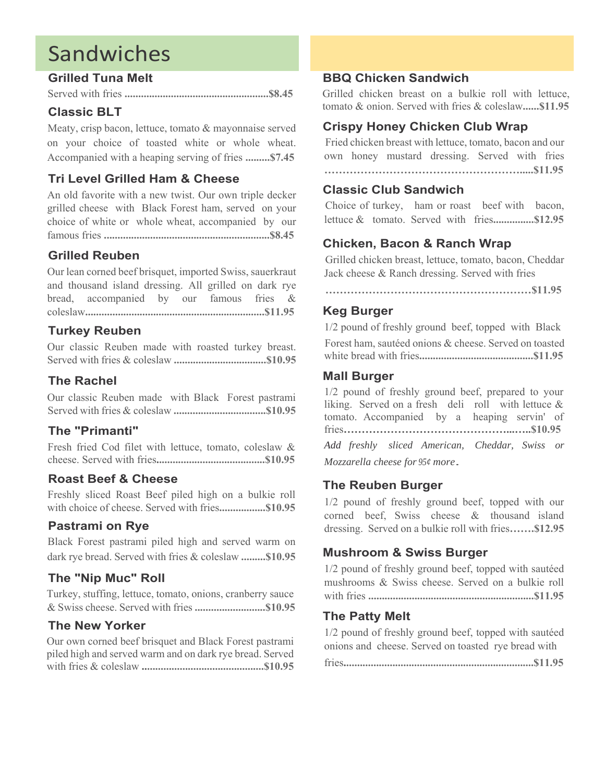# Sandwiches

## **Grilled Tuna Melt**

Served with fries **.....................................................\$8.45**

## **Classic BLT**

Meaty, crisp bacon, lettuce, tomato & mayonnaise served on your choice of toasted white or whole wheat. Accompanied with a heaping serving of fries **.........\$7.45**

# **Tri Level Grilled Ham & Cheese**

An old favorite with a new twist. Our own triple decker grilled cheese with Black Forest ham, served on your choice of white or whole wheat, accompanied by our famous fries **.............................................................\$8.45**

# **Grilled Reuben**

Our lean corned beef brisquet, imported Swiss, sauerkraut and thousand island dressing. All grilled on dark rye bread, accompanied by our famous fries & coleslaw**..................................................................\$11.95**

# **Turkey Reuben**

Our classic Reuben made with roasted turkey breast. Served with fries & coleslaw **..................................\$10.95**

# **The Rachel**

Our classic Reuben made with Black Forest pastrami Served with fries & coleslaw **..................................\$10.95**

# **The "Primanti"**

Fresh fried Cod filet with lettuce, tomato, coleslaw & cheese. Served with fries**........................................\$10.95**

# **Roast Beef & Cheese**

Freshly sliced Roast Beef piled high on a bulkie roll with choice of cheese. Served with fries**.................\$10.95**

# **Pastrami on Rye**

Black Forest pastrami piled high and served warm on dark rye bread. Served with fries & coleslaw **.........\$10.95**

# **The "Nip Muc" Roll**

Turkey, stuffing, lettuce, tomato, onions, cranberry sauce & Swiss cheese. Served with fries **..........................\$10.95**

# **The New Yorker**

Our own corned beef brisquet and Black Forest pastrami piled high and served warm and on dark rye bread. Served with fries & coleslaw **.............................................\$10.95**

## **BBQ Chicken Sandwich**

Grilled chicken breast on a bulkie roll with lettuce, tomato & onion. Served with fries & coleslaw**......\$11.95**

# **Crispy Honey Chicken Club Wrap**

Fried chicken breast with lettuce, tomato, bacon and our own honey mustard dressing. Served with fries **……………………………………………….....\$11.95**

## **Classic Club Sandwich**

Choice of turkey, ham or roast beef with bacon, lettuce & tomato. Served with fries**...............\$12.95**

# **Chicken, Bacon & Ranch Wrap**

Grilled chicken breast, lettuce, tomato, bacon, Cheddar Jack cheese & Ranch dressing. Served with fries

**…………………………………………………\$11.95** 

## **Keg Burger**

1/2 pound of freshly ground beef, topped with Black Forest ham, sautéed onions & cheese. Served on toasted white bread with fries**..........................................\$11.95**

## **Mall Burger**

1/2 pound of freshly ground beef, prepared to your liking. Served on a fresh deli roll with lettuce  $\&$ tomato. Accompanied by a heaping servin' of fries**………………………………………...…..\$10.95** *Add freshly sliced American, Cheddar, Swiss or Mozzarella cheese for 95¢ more.* 

## **The Reuben Burger**

1/2 pound of freshly ground beef, topped with our corned beef, Swiss cheese & thousand island dressing. Served on a bulkie roll with fries**…….\$12.95**

# **Mushroom & Swiss Burger**

1/2 pound of freshly ground beef, topped with sautéed mushrooms & Swiss cheese. Served on a bulkie roll with fries **.............................................................\$11.95**

# **The Patty Melt**

1/2 pound of freshly ground beef, topped with sautéed onions and cheese. Served on toasted rye bread with

fries**......................................................................\$11.95**